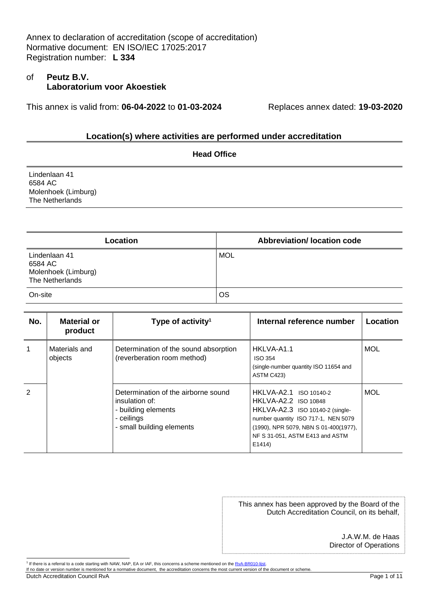# of **Peutz B.V. Laboratorium voor Akoestiek**

This annex is valid from: **06-04-2022** to **01-03-2024** Replaces annex dated: **19-03-2020**

#### **Location(s) where activities are performed under accreditation**

| <b>Head Office</b>                                                 |  |
|--------------------------------------------------------------------|--|
| Lindenlaan 41<br>6584 AC<br>Molenhoek (Limburg)<br>The Netherlands |  |
|                                                                    |  |

| Location                                                           | <b>Abbreviation/Iocation code</b> |
|--------------------------------------------------------------------|-----------------------------------|
| Lindenlaan 41<br>6584 AC<br>Molenhoek (Limburg)<br>The Netherlands | MOL                               |
| On-site                                                            | OS                                |

| No.           | <b>Material or</b><br>product | Type of activity <sup>1</sup>                                                                                           | Internal reference number                                                                                                                                                                                             | Location   |
|---------------|-------------------------------|-------------------------------------------------------------------------------------------------------------------------|-----------------------------------------------------------------------------------------------------------------------------------------------------------------------------------------------------------------------|------------|
|               | Materials and<br>objects      | Determination of the sound absorption<br>(reverberation room method)                                                    | HKLVA-A1.1<br>ISO 354<br>(single-number quantity ISO 11654 and<br>ASTM C423)                                                                                                                                          | <b>MOL</b> |
| $\mathcal{P}$ |                               | Determination of the airborne sound<br>insulation of:<br>- building elements<br>- ceilings<br>- small building elements | HKLVA-A2.1 ISO 10140-2<br><b>HKLVA-A2.2 ISO 10848</b><br>HKLVA-A2.3 ISO 10140-2 (single-<br>number quantity ISO 717-1, NEN 5079<br>(1990), NPR 5079, NBN S 01-400(1977),<br>NF S 31-051, ASTM E413 and ASTM<br>E1414) | MOL        |

This annex has been approved by the Board of the Dutch Accreditation Council, on its behalf,

> J.A.W.M. de Haas Director of Operations

Dutch Accreditation Council RvA Page 1 of 11

<sup>&</sup>lt;sup>1</sup> If there is a referral to a code starting with NAW, NAP, EA or IAF, this concerns a scheme mentioned on the RvA-BR010-lijst.

If no date or version number is mentioned for a normative document, the accreditation concerns the most current version of the document or scheme.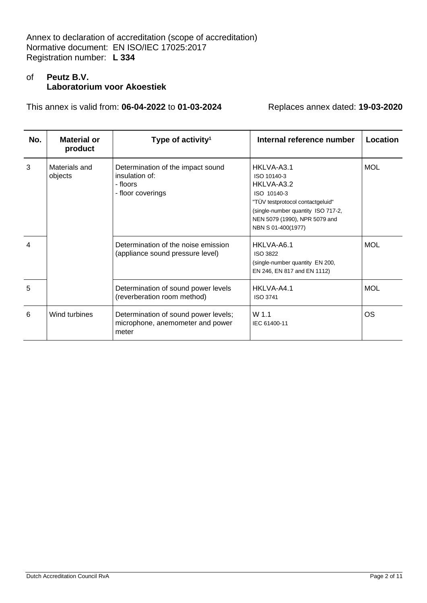# of **Peutz B.V. Laboratorium voor Akoestiek**

| No. | <b>Material or</b><br>product | Type of activity <sup>1</sup>                                                        | Internal reference number                                                                                                                                                               | Location   |
|-----|-------------------------------|--------------------------------------------------------------------------------------|-----------------------------------------------------------------------------------------------------------------------------------------------------------------------------------------|------------|
| 3   | Materials and<br>objects      | Determination of the impact sound<br>insulation of:<br>- floors<br>- floor coverings | HKLVA-A3.1<br>ISO 10140-3<br>HKLVA-A3.2<br>ISO 10140-3<br>"TÜV testprotocol contactgeluid"<br>(single-number quantity ISO 717-2,<br>NEN 5079 (1990), NPR 5079 and<br>NBN S 01-400(1977) | <b>MOL</b> |
| 4   |                               | Determination of the noise emission<br>(appliance sound pressure level)              | HKLVA-A6.1<br>ISO 3822<br>(single-number quantity EN 200,<br>EN 246, EN 817 and EN 1112)                                                                                                | <b>MOL</b> |
| 5   |                               | Determination of sound power levels<br>(reverberation room method)                   | HKLVA-A4.1<br><b>ISO 3741</b>                                                                                                                                                           | <b>MOL</b> |
| 6   | Wind turbines                 | Determination of sound power levels;<br>microphone, anemometer and power<br>meter    | W 1.1<br>IEC 61400-11                                                                                                                                                                   | OS.        |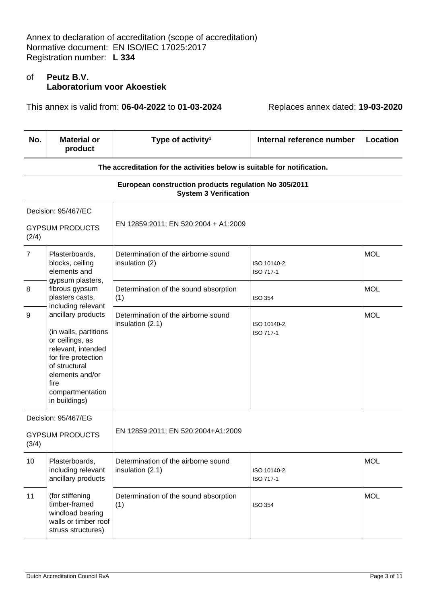# of **Peutz B.V. Laboratorium voor Akoestiek**

This annex is valid from: **06-04-2022** to **01-03-2024** Replaces annex dated: **19-03-2020**

| No.            | <b>Material or</b><br>product                                                                                                                                                                                      | Type of activity <sup>1</sup>                                                         | Internal reference number | <b>Location</b> |
|----------------|--------------------------------------------------------------------------------------------------------------------------------------------------------------------------------------------------------------------|---------------------------------------------------------------------------------------|---------------------------|-----------------|
|                |                                                                                                                                                                                                                    | The accreditation for the activities below is suitable for notification.              |                           |                 |
|                |                                                                                                                                                                                                                    | European construction products regulation No 305/2011<br><b>System 3 Verification</b> |                           |                 |
|                | Decision: 95/467/EC                                                                                                                                                                                                |                                                                                       |                           |                 |
| (2/4)          | <b>GYPSUM PRODUCTS</b>                                                                                                                                                                                             | EN 12859:2011; EN 520:2004 + A1:2009                                                  |                           |                 |
| $\overline{7}$ | Plasterboards,<br>blocks, ceiling<br>elements and                                                                                                                                                                  | Determination of the airborne sound<br>insulation (2)                                 | ISO 10140-2,<br>ISO 717-1 | <b>MOL</b>      |
| 8              | gypsum plasters,<br>fibrous gypsum<br>plasters casts,                                                                                                                                                              | Determination of the sound absorption<br>(1)                                          | <b>ISO 354</b>            | <b>MOL</b>      |
| 9              | including relevant<br>ancillary products<br>(in walls, partitions<br>or ceilings, as<br>relevant, intended<br>for fire protection<br>of structural<br>elements and/or<br>fire<br>compartmentation<br>in buildings) | Determination of the airborne sound<br>insulation (2.1)                               | ISO 10140-2,<br>ISO 717-1 | <b>MOL</b>      |
|                | Decision: 95/467/EG                                                                                                                                                                                                |                                                                                       |                           |                 |
| (3/4)          | <b>GYPSUM PRODUCTS</b>                                                                                                                                                                                             | EN 12859:2011; EN 520:2004+A1:2009                                                    |                           |                 |
| 10             | Plasterboards,<br>including relevant<br>ancillary products                                                                                                                                                         | Determination of the airborne sound<br>insulation (2.1)                               | ISO 10140-2,<br>ISO 717-1 | <b>MOL</b>      |
| 11             | (for stiffening<br>timber-framed<br>windload bearing<br>walls or timber roof<br>struss structures)                                                                                                                 | Determination of the sound absorption<br>(1)                                          | <b>ISO 354</b>            | <b>MOL</b>      |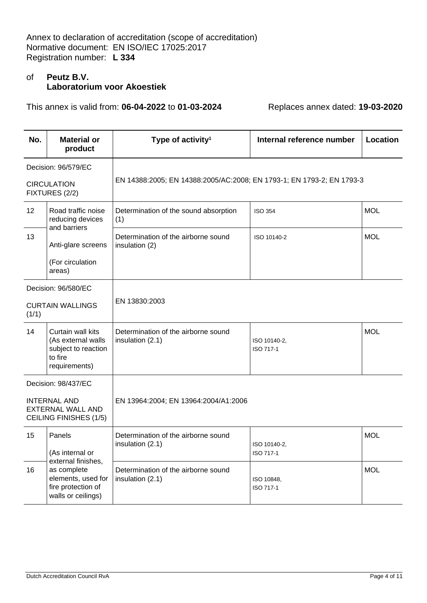# of **Peutz B.V. Laboratorium voor Akoestiek**

| No.   | <b>Material or</b><br>product                                                                           | Type of activity <sup>1</sup>                                         | Internal reference number | <b>Location</b> |
|-------|---------------------------------------------------------------------------------------------------------|-----------------------------------------------------------------------|---------------------------|-----------------|
|       | Decision: 96/579/EC<br><b>CIRCULATION</b><br>FIXTURES (2/2)                                             | EN 14388:2005; EN 14388:2005/AC:2008; EN 1793-1; EN 1793-2; EN 1793-3 |                           |                 |
| 12    | Road traffic noise<br>reducing devices<br>and barriers                                                  | Determination of the sound absorption<br>(1)                          | <b>ISO 354</b>            | <b>MOL</b>      |
| 13    | Anti-glare screens<br>(For circulation<br>areas)                                                        | Determination of the airborne sound<br>insulation (2)                 | ISO 10140-2               | <b>MOL</b>      |
| (1/1) | Decision: 96/580/EC<br><b>CURTAIN WALLINGS</b>                                                          | EN 13830:2003                                                         |                           |                 |
| 14    | Curtain wall kits<br>(As external walls<br>subject to reaction<br>to fire<br>requirements)              | Determination of the airborne sound<br>insulation (2.1)               | ISO 10140-2,<br>ISO 717-1 | <b>MOL</b>      |
|       | Decision: 98/437/EC<br><b>INTERNAL AND</b><br><b>EXTERNAL WALL AND</b><br><b>CEILING FINISHES (1/5)</b> | EN 13964:2004; EN 13964:2004/A1:2006                                  |                           |                 |
| 15    | Panels<br>(As internal or                                                                               | Determination of the airborne sound<br>insulation (2.1)               | ISO 10140-2,<br>ISO 717-1 | <b>MOL</b>      |
| 16    | external finishes,<br>as complete<br>elements, used for<br>fire protection of<br>walls or ceilings)     | Determination of the airborne sound<br>insulation (2.1)               | ISO 10848,<br>ISO 717-1   | <b>MOL</b>      |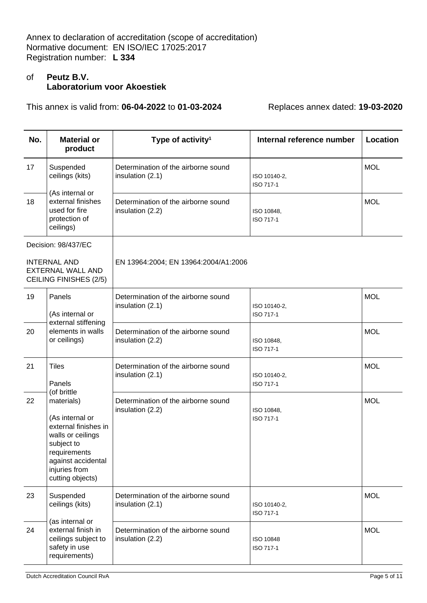# of **Peutz B.V. Laboratorium voor Akoestiek**

| No. | <b>Material or</b><br>product                                                                                                                                       | Type of activity <sup>1</sup>                           | Internal reference number | Location   |
|-----|---------------------------------------------------------------------------------------------------------------------------------------------------------------------|---------------------------------------------------------|---------------------------|------------|
| 17  | Suspended<br>ceilings (kits)                                                                                                                                        | Determination of the airborne sound<br>insulation (2.1) | ISO 10140-2,<br>ISO 717-1 | <b>MOL</b> |
| 18  | (As internal or<br>external finishes<br>used for fire<br>protection of<br>ceilings)                                                                                 | Determination of the airborne sound<br>insulation (2.2) | ISO 10848,<br>ISO 717-1   | <b>MOL</b> |
|     | Decision: 98/437/EC                                                                                                                                                 |                                                         |                           |            |
|     | <b>INTERNAL AND</b><br><b>EXTERNAL WALL AND</b><br><b>CEILING FINISHES (2/5)</b>                                                                                    | EN 13964:2004; EN 13964:2004/A1:2006                    |                           |            |
| 19  | Panels<br>(As internal or<br>external stiffening                                                                                                                    | Determination of the airborne sound<br>insulation (2.1) | ISO 10140-2,<br>ISO 717-1 | <b>MOL</b> |
| 20  | elements in walls<br>or ceilings)                                                                                                                                   | Determination of the airborne sound<br>insulation (2.2) | ISO 10848.<br>ISO 717-1   | <b>MOL</b> |
| 21  | <b>Tiles</b><br>Panels<br>(of brittle                                                                                                                               | Determination of the airborne sound<br>insulation (2.1) | ISO 10140-2,<br>ISO 717-1 | <b>MOL</b> |
| 22  | materials)<br>(As internal or<br>external finishes in<br>walls or ceilings<br>subject to<br>requirements<br>against accidental<br>injuries from<br>cutting objects) | Determination of the airborne sound<br>insulation (2.2) | ISO 10848,<br>ISO 717-1   | <b>MOL</b> |
| 23  | Suspended<br>ceilings (kits)                                                                                                                                        | Determination of the airborne sound<br>insulation (2.1) | ISO 10140-2,<br>ISO 717-1 | <b>MOL</b> |
| 24  | (as internal or<br>external finish in<br>ceilings subject to<br>safety in use<br>requirements)                                                                      | Determination of the airborne sound<br>insulation (2.2) | ISO 10848<br>ISO 717-1    | <b>MOL</b> |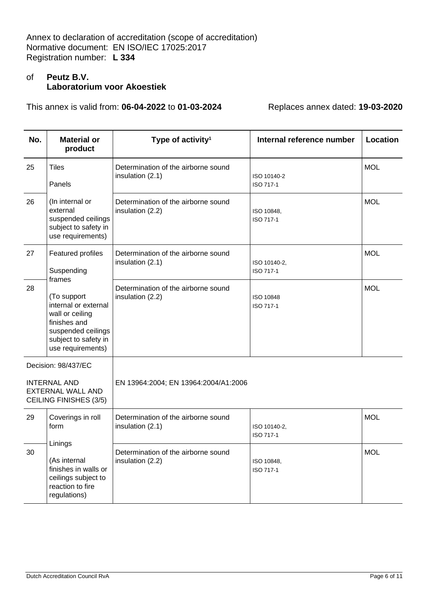# of **Peutz B.V. Laboratorium voor Akoestiek**

| No. | <b>Material or</b><br>product                                                                                                             | Type of activity <sup>1</sup>                           | Internal reference number | <b>Location</b> |
|-----|-------------------------------------------------------------------------------------------------------------------------------------------|---------------------------------------------------------|---------------------------|-----------------|
| 25  | Tiles<br>Panels                                                                                                                           | Determination of the airborne sound<br>insulation (2.1) | ISO 10140-2<br>ISO 717-1  | <b>MOL</b>      |
| 26  | (In internal or<br>external<br>suspended ceilings<br>subject to safety in<br>use requirements)                                            | Determination of the airborne sound<br>insulation (2.2) | ISO 10848,<br>ISO 717-1   | <b>MOL</b>      |
| 27  | Featured profiles<br>Suspending<br>frames                                                                                                 | Determination of the airborne sound<br>insulation (2.1) | ISO 10140-2,<br>ISO 717-1 | <b>MOL</b>      |
| 28  | (To support<br>internal or external<br>wall or ceiling<br>finishes and<br>suspended ceilings<br>subject to safety in<br>use requirements) | Determination of the airborne sound<br>insulation (2.2) | ISO 10848<br>ISO 717-1    | <b>MOL</b>      |
|     | Decision: 98/437/EC                                                                                                                       |                                                         |                           |                 |
|     | <b>INTERNAL AND</b><br><b>EXTERNAL WALL AND</b><br><b>CEILING FINISHES (3/5)</b>                                                          | EN 13964:2004; EN 13964:2004/A1:2006                    |                           |                 |
| 29  | Coverings in roll<br>form                                                                                                                 | Determination of the airborne sound<br>insulation (2.1) | ISO 10140-2,<br>ISO 717-1 | <b>MOL</b>      |
| 30  | Linings<br>(As internal<br>finishes in walls or<br>ceilings subject to<br>reaction to fire<br>regulations)                                | Determination of the airborne sound<br>insulation (2.2) | ISO 10848,<br>ISO 717-1   | <b>MOL</b>      |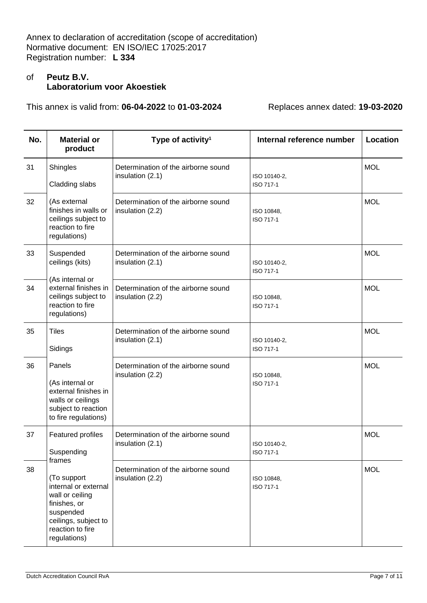# of **Peutz B.V. Laboratorium voor Akoestiek**

| No. | <b>Material or</b><br>product                                                                                                                             | Type of activity <sup>1</sup>                           | Internal reference number | Location   |
|-----|-----------------------------------------------------------------------------------------------------------------------------------------------------------|---------------------------------------------------------|---------------------------|------------|
| 31  | Shingles<br>Cladding slabs                                                                                                                                | Determination of the airborne sound<br>insulation (2.1) | ISO 10140-2,<br>ISO 717-1 | <b>MOL</b> |
| 32  | (As external<br>finishes in walls or<br>ceilings subject to<br>reaction to fire<br>regulations)                                                           | Determination of the airborne sound<br>insulation (2.2) | ISO 10848,<br>ISO 717-1   | <b>MOL</b> |
| 33  | Suspended<br>ceilings (kits)                                                                                                                              | Determination of the airborne sound<br>insulation (2.1) | ISO 10140-2,<br>ISO 717-1 | <b>MOL</b> |
| 34  | (As internal or<br>external finishes in<br>ceilings subject to<br>reaction to fire<br>regulations)                                                        | Determination of the airborne sound<br>insulation (2.2) | ISO 10848,<br>ISO 717-1   | <b>MOL</b> |
| 35  | <b>Tiles</b><br>Sidings                                                                                                                                   | Determination of the airborne sound<br>insulation (2.1) | ISO 10140-2,<br>ISO 717-1 | <b>MOL</b> |
| 36  | Panels<br>(As internal or<br>external finishes in<br>walls or ceilings<br>subject to reaction<br>to fire regulations)                                     | Determination of the airborne sound<br>insulation (2.2) | ISO 10848,<br>ISO 717-1   | <b>MOL</b> |
| 37  | Featured profiles<br>Suspending                                                                                                                           | Determination of the airborne sound<br>insulation (2.1) | ISO 10140-2,<br>ISO 717-1 | <b>MOL</b> |
| 38  | frames<br>(To support<br>internal or external<br>wall or ceiling<br>finishes, or<br>suspended<br>ceilings, subject to<br>reaction to fire<br>regulations) | Determination of the airborne sound<br>insulation (2.2) | ISO 10848,<br>ISO 717-1   | <b>MOL</b> |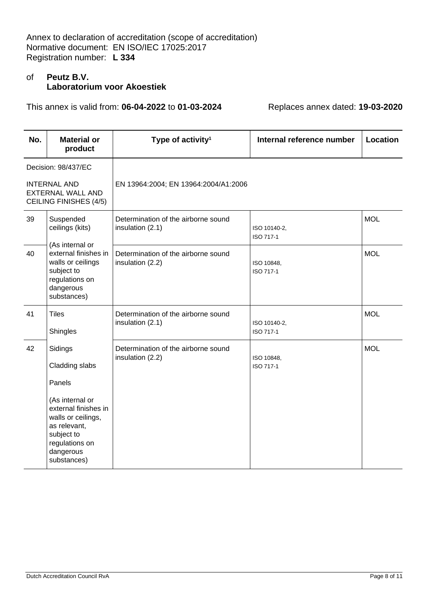# of **Peutz B.V. Laboratorium voor Akoestiek**

| No. | <b>Material or</b><br>product                                                                                                                                                    | Type of activity <sup>1</sup>                           | Internal reference number | Location   |
|-----|----------------------------------------------------------------------------------------------------------------------------------------------------------------------------------|---------------------------------------------------------|---------------------------|------------|
|     | Decision: 98/437/EC                                                                                                                                                              |                                                         |                           |            |
|     | <b>INTERNAL AND</b><br><b>EXTERNAL WALL AND</b><br><b>CEILING FINISHES (4/5)</b>                                                                                                 | EN 13964:2004; EN 13964:2004/A1:2006                    |                           |            |
| 39  | Suspended<br>ceilings (kits)<br>(As internal or                                                                                                                                  | Determination of the airborne sound<br>insulation (2.1) | ISO 10140-2,<br>ISO 717-1 | <b>MOL</b> |
| 40  | external finishes in<br>walls or ceilings<br>subject to<br>regulations on<br>dangerous<br>substances)                                                                            | Determination of the airborne sound<br>insulation (2.2) | ISO 10848,<br>ISO 717-1   | <b>MOL</b> |
| 41  | <b>Tiles</b><br>Shingles                                                                                                                                                         | Determination of the airborne sound<br>insulation (2.1) | ISO 10140-2,<br>ISO 717-1 | <b>MOL</b> |
| 42  | Sidings<br>Cladding slabs<br>Panels<br>(As internal or<br>external finishes in<br>walls or ceilings,<br>as relevant,<br>subject to<br>regulations on<br>dangerous<br>substances) | Determination of the airborne sound<br>insulation (2.2) | ISO 10848,<br>ISO 717-1   | <b>MOL</b> |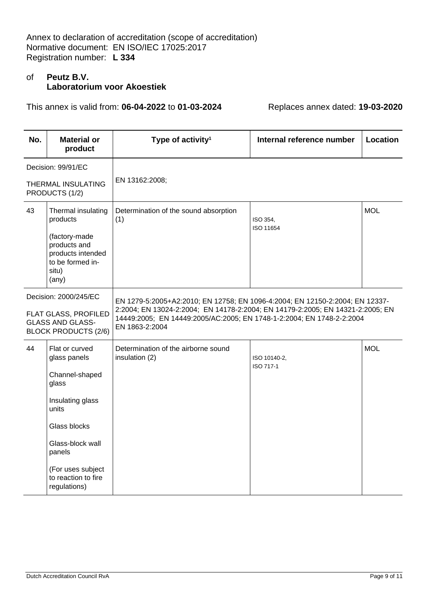# of **Peutz B.V. Laboratorium voor Akoestiek**

| No.                                                                                                     | <b>Material or</b><br>product                                                                                                                                                                    | Type of activity <sup>1</sup>                                                                                                                                                                                                                             | Internal reference number | Location   |
|---------------------------------------------------------------------------------------------------------|--------------------------------------------------------------------------------------------------------------------------------------------------------------------------------------------------|-----------------------------------------------------------------------------------------------------------------------------------------------------------------------------------------------------------------------------------------------------------|---------------------------|------------|
|                                                                                                         | Decision: 99/91/EC                                                                                                                                                                               |                                                                                                                                                                                                                                                           |                           |            |
|                                                                                                         | THERMAL INSULATING<br>PRODUCTS (1/2)                                                                                                                                                             | EN 13162:2008;                                                                                                                                                                                                                                            |                           |            |
| 43                                                                                                      | Thermal insulating<br>products<br>(factory-made<br>products and<br>products intended<br>to be formed in-<br>situ)<br>$(\text{any})$                                                              | Determination of the sound absorption<br>(1)                                                                                                                                                                                                              | ISO 354,<br>ISO 11654     | <b>MOL</b> |
| Decision: 2000/245/EC<br>FLAT GLASS, PROFILED<br><b>GLASS AND GLASS-</b><br><b>BLOCK PRODUCTS (2/6)</b> |                                                                                                                                                                                                  | EN 1279-5:2005+A2:2010; EN 12758; EN 1096-4:2004; EN 12150-2:2004; EN 12337-<br>2:2004; EN 13024-2:2004; EN 14178-2:2004; EN 14179-2:2005; EN 14321-2:2005; EN<br>14449:2005; EN 14449:2005/AC:2005; EN 1748-1-2:2004; EN 1748-2-2:2004<br>EN 1863-2:2004 |                           |            |
| 44                                                                                                      | Flat or curved<br>glass panels<br>Channel-shaped<br>glass<br>Insulating glass<br>units<br>Glass blocks<br>Glass-block wall<br>panels<br>(For uses subject<br>to reaction to fire<br>regulations) | Determination of the airborne sound<br>insulation (2)                                                                                                                                                                                                     | ISO 10140-2.<br>ISO 717-1 | <b>MOL</b> |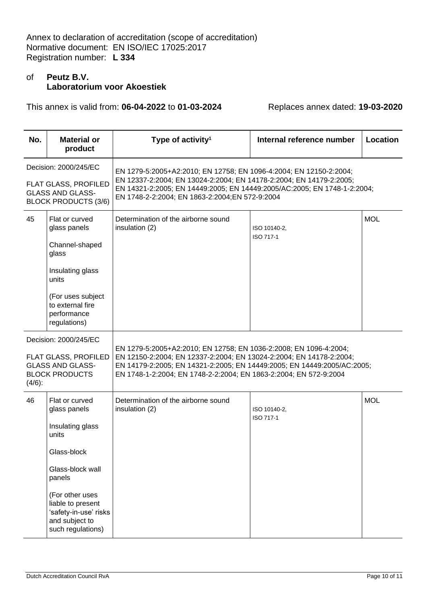# of **Peutz B.V. Laboratorium voor Akoestiek**

| No.                                                                                                            | <b>Material or</b><br>product                                                                                                                                                                                    | Type of activity <sup>1</sup>                                                                                                                                                                                                                                                            | Internal reference number | Location   |
|----------------------------------------------------------------------------------------------------------------|------------------------------------------------------------------------------------------------------------------------------------------------------------------------------------------------------------------|------------------------------------------------------------------------------------------------------------------------------------------------------------------------------------------------------------------------------------------------------------------------------------------|---------------------------|------------|
|                                                                                                                | Decision: 2000/245/EC<br><b>FLAT GLASS, PROFILED</b><br><b>GLASS AND GLASS-</b><br><b>BLOCK PRODUCTS (3/6)</b>                                                                                                   | EN 1279-5:2005+A2:2010; EN 12758; EN 1096-4:2004; EN 12150-2:2004;<br>EN 12337-2:2004; EN 13024-2:2004; EN 14178-2:2004; EN 14179-2:2005;<br>EN 14321-2:2005; EN 14449:2005; EN 14449:2005/AC:2005; EN 1748-1-2:2004;<br>EN 1748-2-2:2004; EN 1863-2:2004; EN 572-9:2004                 |                           |            |
| 45                                                                                                             | Flat or curved<br>glass panels<br>Channel-shaped<br>glass<br>Insulating glass<br>units<br>(For uses subject<br>to external fire<br>performance<br>regulations)                                                   | Determination of the airborne sound<br>insulation (2)                                                                                                                                                                                                                                    | ISO 10140-2,<br>ISO 717-1 | <b>MOL</b> |
| Decision: 2000/245/EC<br>FLAT GLASS, PROFILED<br><b>GLASS AND GLASS-</b><br><b>BLOCK PRODUCTS</b><br>$(4/6)$ : |                                                                                                                                                                                                                  | EN 1279-5:2005+A2:2010; EN 12758; EN 1036-2:2008; EN 1096-4:2004;<br>EN 12150-2:2004; EN 12337-2:2004; EN 13024-2:2004; EN 14178-2:2004;<br>EN 14179-2:2005; EN 14321-2:2005; EN 14449:2005; EN 14449:2005/AC:2005;<br>EN 1748-1-2:2004; EN 1748-2-2:2004; EN 1863-2:2004; EN 572-9:2004 |                           |            |
| 46                                                                                                             | Flat or curved<br>glass panels<br>Insulating glass<br>units<br>Glass-block<br>Glass-block wall<br>panels<br>(For other uses<br>liable to present<br>'safety-in-use' risks<br>and subject to<br>such regulations) | Determination of the airborne sound<br>insulation (2)                                                                                                                                                                                                                                    | ISO 10140-2,<br>ISO 717-1 | <b>MOL</b> |